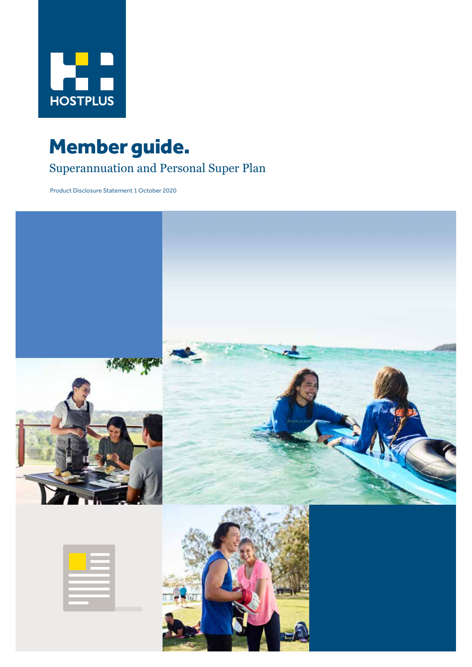

# Member guide.

# Superannuation and Personal Super Plan

Product Disclosure Statement 1 October 2020

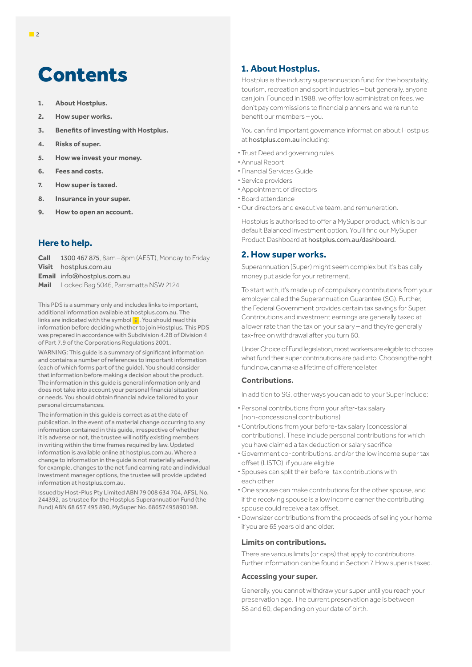# Contents

- **1. About Hostplus.**
- **2. How super works.**
- **3. Benefits of investing with Hostplus.**
- **4. Risks of super.**
- **5. How we invest your money.**
- **6. Fees and costs.**
- **7. How super is taxed.**
- **8. Insurance in your super.**
- **9. How to open an account.**

# **Here to help.**

**Call** 1300 467 875, 8am–8pm (AEST), Monday to Friday **Visit** hostplus.com.au **Email** info@hostplus.com.au **Mail** Locked Bag 5046, Parramatta NSW 2124

This PDS is a summary only and includes links to important, additional information available at hostplus.com.au. The links are indicated with the symbol i. You should read this information before deciding whether to join Hostplus. This PDS was prepared in accordance with Subdivision 4.2B of Division 4 of Part 7.9 of the Corporations Regulations 2001.

WARNING: This guide is a summary of significant information and contains a number of references to important information (each of which forms part of the guide). You should consider that information before making a decision about the product. The information in this guide is general information only and does not take into account your personal financial situation or needs. You should obtain financial advice tailored to your personal circumstances.

The information in this guide is correct as at the date of publication. In the event of a material change occurring to any information contained in this guide, irrespective of whether it is adverse or not, the trustee will notify existing members in writing within the time frames required by law. Updated information is available online at hostplus.com.au. Where a change to information in the guide is not materially adverse, for example, changes to the net fund earning rate and individual investment manager options, the trustee will provide updated information at hostplus.com.au.

Issued by Host-Plus Pty Limited ABN 79 008 634 704, AFSL No. 244392, as trustee for the Hostplus Superannuation Fund (the Fund) ABN 68 657 495 890, MySuper No. 68657495890198.

# **1. About Hostplus.**

Hostplus is the industry superannuation fund for the hospitality, tourism, recreation and sport industries – but generally, anyone can join. Founded in 1988, we offer low administration fees, we don't pay commissions to financial planners and we're run to benefit our members – you.

You can find important governance information about Hostplus at hostplus.com.au including:

- **·** Trust Deed and governing rules
- **·** Annual Report
- **·** Financial Services Guide
- **·** Service providers
- **·** Appointment of directors
- **·** Board attendance
- **·** Our directors and executive team, and remuneration.

Hostplus is authorised to offer a MySuper product, which is our default Balanced investment option. You'll find our MySuper Product Dashboard at hostplus.com.au/dashboard.

## **2. How super works.**

Superannuation (Super) might seem complex but it's basically money put aside for your retirement.

To start with, it's made up of compulsory contributions from your employer called the Superannuation Guarantee (SG). Further, the Federal Government provides certain tax savings for Super. Contributions and investment earnings are generally taxed at a lower rate than the tax on your salary – and they're generally tax-free on withdrawal after you turn 60.

Under Choice of Fund legislation, most workers are eligible to choose what fund their super contributions are paid into. Choosing the right fund now, can make a lifetime of difference later.

## **Contributions.**

In addition to SG, other ways you can add to your Super include:

- **·** Personal contributions from your after-tax salary (non-concessional contributions)
- **·** Contributions from your before-tax salary (concessional contributions). These include personal contributions for which you have claimed a tax deduction or salary sacrifice
- **·** Government co-contributions, and/or the low income super tax offset (LISTO), if you are eligible
- **·** Spouses can split their before-tax contributions with each other
- **·** One spouse can make contributions for the other spouse, and if the receiving spouse is a low income earner the contributing spouse could receive a tax offset.
- **·** Downsizer contributions from the proceeds of selling your home if you are 65 years old and older.

#### **Limits on contributions.**

There are various limits (or caps) that apply to contributions. Further information can be found in Section 7. How super is taxed.

#### **Accessing your super.**

Generally, you cannot withdraw your super until you reach your preservation age. The current preservation age is between 58 and 60, depending on your date of birth.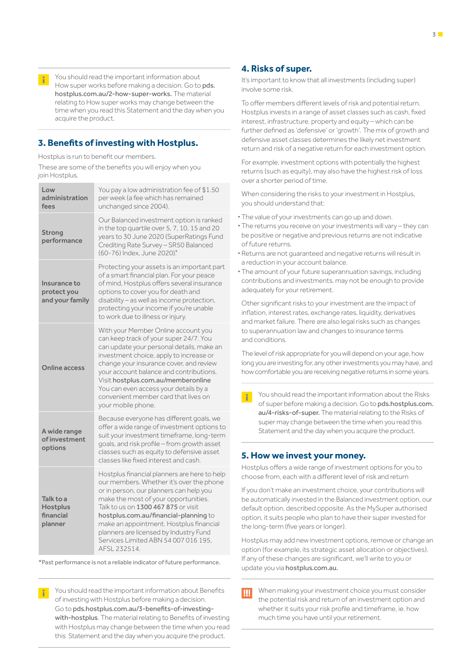You should read the important information about How super works before making a decision. Go to pds. hostplus.com.au/2-how-super-works. The material relating to How super works may change between the time when you read this Statement and the day when you acquire the product.

# **3. Benefits of investing with Hostplus.**

Hostplus is run to benefit our members.

These are some of the benefits you will enjoy when you join Hostplus.

| Low<br>administration<br>fees                        | You pay a low administration fee of \$1.50<br>per week (a fee which has remained<br>unchanged since 2004).                                                                                                                                                                                                                                                                                               |  |  |
|------------------------------------------------------|----------------------------------------------------------------------------------------------------------------------------------------------------------------------------------------------------------------------------------------------------------------------------------------------------------------------------------------------------------------------------------------------------------|--|--|
| Strong<br>performance                                | Our Balanced investment option is ranked<br>in the top quartile over 5, 7, 10, 15 and 20<br>years to 30 June 2020 (SuperRatings Fund<br>Crediting Rate Survey - SR50 Balanced<br>(60-76) Index, June 2020)*                                                                                                                                                                                              |  |  |
| Insurance to<br>protect you<br>and your family       | Protecting your assets is an important part<br>of a smart financial plan. For your peace<br>of mind, Hostplus offers several insurance<br>options to cover you for death and<br>disability - as well as income protection,<br>protecting your income if you're unable<br>to work due to illness or injury.                                                                                               |  |  |
| Online access                                        | With your Member Online account you<br>can keep track of your super 24/7. You<br>can update your personal details, make an<br>investment choice, apply to increase or<br>change your insurance cover, and review<br>your account balance and contributions.<br>Visit hostplus.com.au/memberonline<br>You can even access your details by a<br>convenient member card that lives on<br>your mobile phone. |  |  |
| A wide range<br>of investment<br>options             | Because everyone has different goals, we<br>offer a wide range of investment options to<br>suit your investment timeframe, long-term<br>goals, and risk profile - from growth asset<br>classes such as equity to defensive asset<br>classes like fixed interest and cash.                                                                                                                                |  |  |
| Talk to a<br><b>Hostplus</b><br>financial<br>planner | Hostplus financial planners are here to help<br>our members. Whether it's over the phone<br>or in person, our planners can help you<br>make the most of your opportunities.<br>Talk to us on 1300 467 875 or visit<br>hostplus.com.au/financial-planning to<br>make an appointment. Hostplus financial<br>planners are licensed by Industry Fund<br>Services Limited ABN 54 007 016 195,<br>AFSL 232514. |  |  |

\*Past performance is not a reliable indicator of future performance.

 You should read the important information about Benefits of investing with Hostplus before making a decision. Go to pds.hostplus.com.au/3-benefits-of-investingwith-hostplus. The material relating to Benefits of investing with Hostplus may change between the time when you read this Statement and the day when you acquire the product.

# **4. Risks of super.**

It's important to know that all investments (including super) involve some risk.

To offer members different levels of risk and potential return, Hostplus invests in a range of asset classes such as cash, fixed interest, infrastructure, property and equity – which can be further defined as 'defensive' or 'growth'. The mix of growth and defensive asset classes determines the likely net investment return and risk of a negative return for each investment option.

For example, investment options with potentially the highest returns (such as equity), may also have the highest risk of loss over a shorter period of time.

When considering the risks to your investment in Hostplus, you should understand that:

- **·** The value of your investments can go up and down.
- **·** The returns you receive on your investments will vary they can be positive or negative and previous returns are not indicative of future returns.
- **·** Returns are not guaranteed and negative returns will result in a reduction in your account balance.
- **·** The amount of your future superannuation savings, including contributions and investments, may not be enough to provide adequately for your retirement.

Other significant risks to your investment are the impact of inflation, interest rates, exchange rates, liquidity, derivatives and market failure. There are also legal risks such as changes to superannuation law and changes to insurance terms and conditions.

The level of risk appropriate for you will depend on your age, how long you are investing for, any other investments you may have, and how comfortable you are receiving negative returns in some years.

 You should read the important information about the Risks of super before making a decision. Go to pds.hostplus.com. au/4-risks-of-super. The material relating to the Risks of super may change between the time when you read this Statement and the day when you acquire the product.

## **5. How we invest your money.**

Hostplus offers a wide range of investment options for you to choose from, each with a different level of risk and return

If you don't make an investment choice, your contributions will be automatically invested in the Balanced investment option, our default option, described opposite. As the MySuper authorised option, it suits people who plan to have their super invested for the long-term (five years or longer).

Hostplus may add new investment options, remove or change an option (for example, its strategic asset allocation or objectives). If any of these changes are significant, we'll write to you or update you via hostplus.com.au.

 When making your investment choice you must consider **IIII** the potential risk and return of an investment option and whether it suits your risk profile and timeframe, ie. how much time you have until your retirement.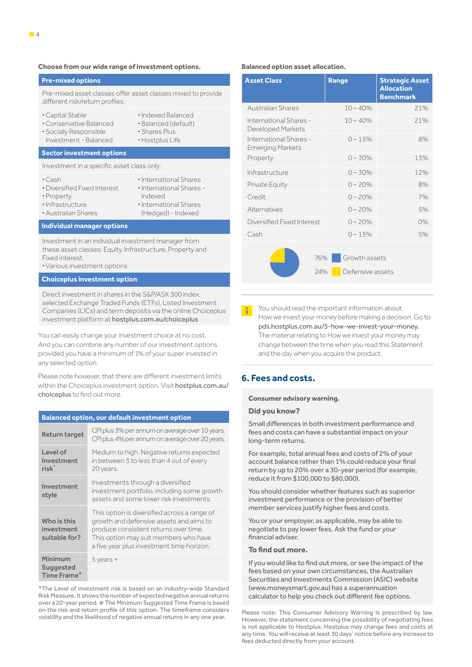#### **Choose from our wide range of investment options.**

#### **Pre-mixed options**

Pre-mixed asset classes offer asset classes mixed to provide different risk/return profiles:

- **·**Capital Stable
- **·**Indexed Balanced **·** Balanced (default)
- **·**Conservative Balanced **·** Socially Responsible Investment - Balanced
- **·** Shares Plus
	- **·**Hostplus Life

#### **Sector investment options**

Investment in a specific asset class only:

- **·**Cash
- **·**Diversified Fixed Interest **·**International Shares **·**International Shares - Indexed
- **·** Property **·**Infrastructure
- **·**Australian Shares
- **·**International Shares (Hedged) - Indexed
- 

## **Individual manager options**

Investment in an individual investment manager from these asset classes: Equity, Infrastructure, Property and Fixed interest.

**·**Various investment options

#### **Choiceplus investment option**

Direct investment in shares in the S&P/ASX 300 index, selected Exchange Traded Funds (ETFs), Listed Investment Companies (LICs) and term deposits via the online Choiceplus investment platform at hostplus.com.au/choiceplus

You can easily change your investment choice at no cost. And you can combine any number of our investment options provided you have a minimum of 1% of your super invested in any selected option.

Please note however, that there are different investment limits within the Choiceplus investment option. Visit hostplus.com.au/ choiceplus to find out more.

#### **Balanced option, our default investment option** Return target CPI plus 3% per annum on average over 10 years. CPI plus 4% per annum on average over 20 years. Level of Investment risk\* Medium to high. Negative returns expected in between 3 to less than 4 out of every 20 years. Investment style Investments through a diversified investment portfolio, including some growth assets and some lower risk investments. Who is this investment suitable for? This option is diversified across a range of growth and defensive assets and aims to produce consistent returns over time. This option may suit members who have a five year plus investment time horizon. Minimum **Suggested** Time Frame<sup>#</sup> 5 years +

\*The Level of investment risk is based on an industry-wide Standard Risk Measure. It shows the number of expected negative annual returns over a 20-year period. # The Minimum Suggested Time Frame is based on the risk and return profile of this option. The timeframe considers volatility and the likelihood of negative annual returns in any one year.

#### **Balanced option asset allocation.**

| <b>Asset Class</b>                                | Range                             | <b>Strategic Asset</b><br><b>Allocation</b><br><b>Benchmark</b> |
|---------------------------------------------------|-----------------------------------|-----------------------------------------------------------------|
| Australian Shares                                 | $10 - 40%$                        | 21%                                                             |
| International Shares -<br>Developed Markets       | $10 - 40%$                        | 21%                                                             |
| International Shares -<br><b>Emerging Markets</b> | $0 - 15%$                         | 8%                                                              |
| Property                                          | $0 - 30%$                         | 13%                                                             |
| Infrastructure                                    | $0 - 30%$                         | 12%                                                             |
| Private Equity                                    | $0 - 20%$                         | 8%                                                              |
| Credit                                            | $0 - 20%$                         | 7%                                                              |
| Alternatives                                      | $0 - 20%$                         | 5%                                                              |
| Diversified Fixed Interest                        | $0 - 20%$                         | 0%                                                              |
| Cash                                              | $0 - 15%$                         | 5%                                                              |
| 76%<br>24%                                        | Growth assets<br>Defensive assets |                                                                 |

 You should read the important information about Ŧ. How we invest your money before making a decision. Go to pds.hostplus.com.au/5-how-we-invest-your-money. The material relating to How we invest your money may change between the time when you read this Statement and the day when you acquire the product.

## **6. Fees and costs.**

#### **Consumer advisory warning.**

#### **Did you know?**

Small differences in both investment performance and fees and costs can have a substantial impact on your long-term returns.

For example, total annual fees and costs of 2% of your account balance rather than 1% could reduce your final return by up to 20% over a 30-year period (for example, reduce it from \$100,000 to \$80,000).

You should consider whether features such as superior investment performance or the provision of better member services justify higher fees and costs.

You or your employer, as applicable, may be able to negotiate to pay lower fees. Ask the fund or your financial adviser.

## **To find out more.**

If you would like to find out more, or see the impact of the fees based on your own circumstances, the Australian Securities and Investments Commission (ASIC) website (www.moneysmart.gov.au) has a superannuation calculator to help you check out different fee options.

Please note: This Consumer Advisory Warning is prescribed by law. However, the statement concerning the possibility of negotiating fees is not applicable to Hostplus. Hostplus may change fees and costs at any time. You will receive at least 30 days' notice before any increase to fees deducted directly from your account.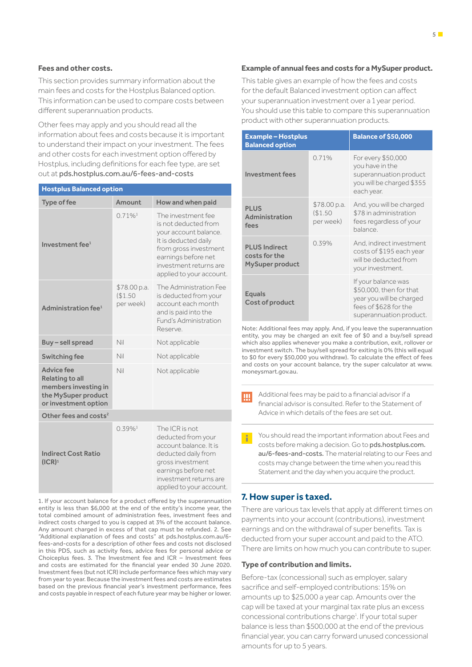#### **Fees and other costs.**

This section provides summary information about the main fees and costs for the Hostplus Balanced option. This information can be used to compare costs between different superannuation products.

Other fees may apply and you should read all the information about fees and costs because it is important to understand their impact on your investment. The fees and other costs for each investment option offered by Hostplus, including definitions for each fee type, are set out at pds.hostplus.com.au/6-fees-and-costs

| <b>Hostplus Balanced option</b>                                                                                    |                                      |                                                                                                                                                                                                   |  |
|--------------------------------------------------------------------------------------------------------------------|--------------------------------------|---------------------------------------------------------------------------------------------------------------------------------------------------------------------------------------------------|--|
| <b>Type of fee</b>                                                                                                 | Amount                               | How and when paid                                                                                                                                                                                 |  |
| Investment fee <sup>1</sup>                                                                                        | $0.71\%$ <sup>3</sup>                | The investment fee<br>is not deducted from<br>your account balance.<br>It is deducted daily<br>from gross investment<br>earnings before net<br>investment returns are<br>applied to your account. |  |
| Administration fee <sup>1</sup>                                                                                    | \$78.00 p.a.<br>(\$1.50<br>per week) | The Administration Fee<br>is deducted from your<br>account each month<br>and is paid into the<br>Fund's Administration<br>Reserve                                                                 |  |
| Buy - sell spread                                                                                                  | Nil                                  | Not applicable                                                                                                                                                                                    |  |
| Switching fee                                                                                                      | Nil                                  | Not applicable                                                                                                                                                                                    |  |
| <b>Advice fee</b><br><b>Relating to all</b><br>members investing in<br>the MySuper product<br>or investment option | Nil                                  | Not applicable                                                                                                                                                                                    |  |
| Other fees and costs <sup>2</sup>                                                                                  |                                      |                                                                                                                                                                                                   |  |
| <b>Indirect Cost Ratio</b><br>(ICR) <sup>1</sup>                                                                   | $0.39\%$ <sup>3</sup>                | The ICR is not.<br>deducted from your<br>account balance. It is<br>deducted daily from<br>gross investment<br>earnings before net<br>investment returns are<br>applied to your account.           |  |

1. If your account balance for a product offered by the superannuation entity is less than \$6,000 at the end of the entity's income year, the total combined amount of administration fees, investment fees and indirect costs charged to you is capped at 3% of the account balance. Any amount charged in excess of that cap must be refunded. 2. See "Additional explanation of fees and costs" at pds.hostplus.com.au/6 fees-and-costs for a description of other fees and costs not disclosed in this PDS, such as activity fees, advice fees for personal advice or Choiceplus fees. 3. The Investment fee and ICR – Investment fees and costs are estimated for the financial year ended 30 June 2020. Investment fees (but not ICR) include performance fees which may vary from year to year. Because the investment fees and costs are estimates based on the previous financial year's investment performance, fees and costs payable in respect of each future year may be higher or lower.

### **Example of annual fees and costs for a MySuper product.**

This table gives an example of how the fees and costs for the default Balanced investment option can affect your superannuation investment over a 1 year period. You should use this table to compare this superannuation product with other superannuation products.

| <b>Example - Hostplus</b><br><b>Balanced option</b>             |                                     | <b>Balance of \$50,000</b>                                                                                                     |
|-----------------------------------------------------------------|-------------------------------------|--------------------------------------------------------------------------------------------------------------------------------|
| <b>Investment fees</b>                                          | 0.71%                               | For every \$50,000<br>you have in the<br>superannuation product<br>you will be charged \$355<br>each year.                     |
| <b>PLUS</b><br>Administration<br>fees                           | \$78.00 p.a.<br>\$1.50<br>per week) | And, you will be charged<br>\$78 in administration<br>fees regardless of your<br>balance.                                      |
| <b>PLUS Indirect</b><br>costs for the<br><b>MySuper product</b> | 0.39%                               | And, indirect investment<br>costs of \$195 each year<br>will be deducted from<br>your investment.                              |
| <b>Equals</b><br>Cost of product                                |                                     | If your balance was<br>\$50,000, then for that<br>year you will be charged<br>fees of \$628 for the<br>superannuation product. |

Note: Additional fees may apply. And, if you leave the superannuation entity, you may be charged an exit fee of \$0 and a buy/sell spread which also applies whenever you make a contribution, exit, rollover or investment switch. The buy/sell spread for exiting is 0% (this will equal to \$0 for every \$50,000 you withdraw). To calculate the effect of fees and costs on your account balance, try the super calculator at www. moneysmart.gov.au.

 Additional fees may be paid to a financial advisor if a IЩ financial advisor is consulted. Refer to the Statement of Advice in which details of the fees are set out.

 You should read the important information about Fees and costs before making a decision. Go to pds.hostplus.com. au/6-fees-and-costs. The material relating to our Fees and costs may change between the time when you read this Statement and the day when you acquire the product.

## **7. How super is taxed.**

There are various tax levels that apply at different times on payments into your account (contributions), investment earnings and on the withdrawal of super benefits. Tax is deducted from your super account and paid to the ATO. There are limits on how much you can contribute to super.

### **Type of contribution and limits.**

Before-tax (concessional) such as employer, salary sacrifice and self-employed contributions: 15% on amounts up to \$25,000 a year cap. Amounts over the cap will be taxed at your marginal tax rate plus an excess concessional contributions charge<sup>1</sup>. If your total super balance is less than \$500,000 at the end of the previous financial year, you can carry forward unused concessional amounts for up to 5 years.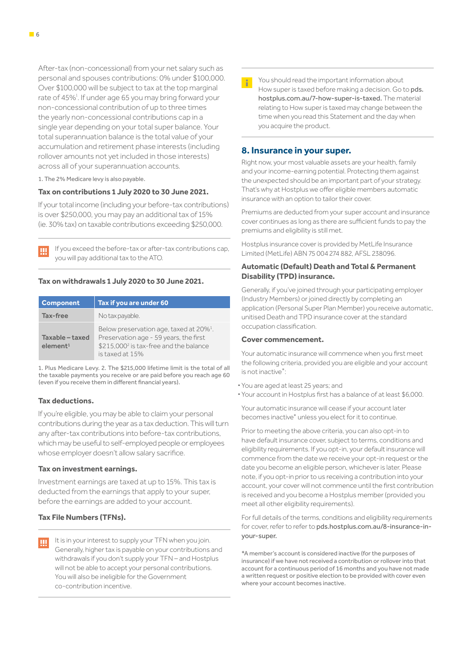After-tax (non-concessional) from your net salary such as personal and spouses contributions: 0% under \$100,000. Over \$100,000 will be subject to tax at the top marginal rate of 45%<sup>1</sup>. If under age 65 you may bring forward your non-concessional contribution of up to three times the yearly non-concessional contributions cap in a single year depending on your total super balance. Your total superannuation balance is the total value of your accumulation and retirement phase interests (including rollover amounts not yet included in those interests) across all of your superannuation accounts.

1. The 2% Medicare levy is also payable.

### **Tax on contributions 1 July 2020 to 30 June 2021.**

If your total income (including your before-tax contributions) is over \$250,000, you may pay an additional tax of 15% (ie. 30% tax) on taxable contributions exceeding \$250,000.

 If you exceed the before-tax or after-tax contributions cap, you will pay additional tax to the ATO.

## **Tax on withdrawals 1 July 2020 to 30 June 2021.**

| <b>Component</b>                        | Tax if you are under 60                                                                                                                                                |
|-----------------------------------------|------------------------------------------------------------------------------------------------------------------------------------------------------------------------|
| Tax-free                                | No tax payable.                                                                                                                                                        |
| Taxable - taxed<br>element <sup>1</sup> | Below preservation age, taxed at 20% <sup>1</sup> .<br>Preservation age - 59 years, the first<br>\$215,000 <sup>2</sup> is tax-free and the balance<br>is taxed at 15% |

1. Plus Medicare Levy. 2. The \$215,000 lifetime limit is the total of all the taxable payments you receive or are paid before you reach age 60 (even if you receive them in different financial years).

#### **Tax deductions.**

If you're eligible, you may be able to claim your personal contributions during the year as a tax deduction. This will turn any after-tax contributions into before-tax contributions, which may be useful to self-employed people or employees whose employer doesn't allow salary sacrifice.

### **Tax on investment earnings.**

Investment earnings are taxed at up to 15%. This tax is deducted from the earnings that apply to your super, before the earnings are added to your account.

## **Tax File Numbers (TFNs).**

It is in your interest to supply your TFN when you join. Щ Generally, higher tax is payable on your contributions and withdrawals if you don't supply your TFN – and Hostplus will not be able to accept your personal contributions. You will also be ineligible for the Government co-contribution incentive.

 You should read the important information about How super is taxed before making a decision. Go to pds. hostplus.com.au/7-how-super-is-taxed. The material relating to How super is taxed may change between the time when you read this Statement and the day when you acquire the product.

## **8. Insurance in your super.**

Right now, your most valuable assets are your health, family and your income-earning potential. Protecting them against the unexpected should be an important part of your strategy. That's why at Hostplus we offer eligible members automatic insurance with an option to tailor their cover.

Premiums are deducted from your super account and insurance cover continues as long as there are sufficient funds to pay the premiums and eligibility is still met.

Hostplus insurance cover is provided by MetLife Insurance Limited (MetLife) ABN 75 004 274 882, AFSL 238096.

## **Automatic (Default) Death and Total & Permanent Disability (TPD) insurance.**

Generally, if you've joined through your participating employer (Industry Members) or joined directly by completing an application (Personal Super Plan Member) you receive automatic, unitised Death and TPD insurance cover at the standard occupation classification.

#### **Cover commencement.**

Your automatic insurance will commence when you first meet the following criteria, provided you are eligible and your account is not inactive\*:

- **·** You are aged at least 25 years; and
- **·** Your account in Hostplus first has a balance of at least \$6,000.

Your automatic insurance will cease if your account later becomes inactive\* unless you elect for it to continue.

Prior to meeting the above criteria, you can also opt-in to have default insurance cover, subject to terms, conditions and eligibility requirements. If you opt-in, your default insurance will commence from the date we receive your opt-in request or the date you become an eligible person, whichever is later. Please note, if you opt-in prior to us receiving a contribution into your account, your cover will not commence until the first contribution is received and you become a Hostplus member (provided you meet all other eligibility requirements).

For full details of the terms, conditions and eligibility requirements for cover, refer to refer to pds.hostplus.com.au/8-insurance-inyour-super.

\*A member's account is considered inactive (for the purposes of insurance) if we have not received a contribution or rollover into that account for a continuous period of 16 months and you have not made a written request or positive election to be provided with cover even where your account becomes inactive.

Ш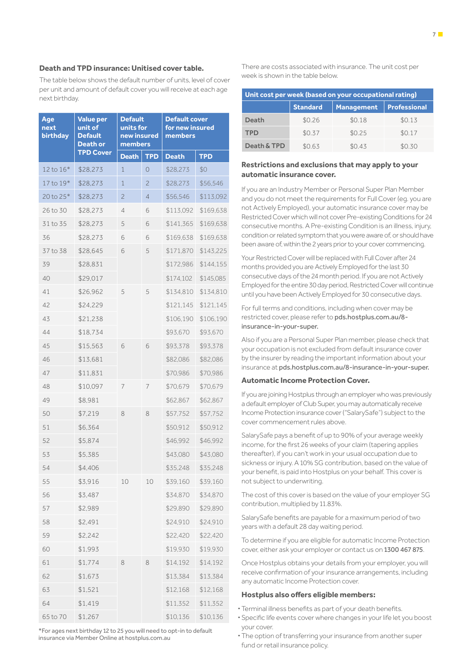## **Death and TPD insurance: Unitised cover table.**

The table below shows the default number of units, level of cover per unit and amount of default cover you will receive at each age next birthday.

| Age<br>next<br><b>birthday</b> | <b>Value per</b><br>unit of<br><b>Default</b><br><b>Death or</b> | <b>Default</b><br>units for<br>new insured<br>members |                | <b>Default cover</b><br>for new insured<br>members |            |
|--------------------------------|------------------------------------------------------------------|-------------------------------------------------------|----------------|----------------------------------------------------|------------|
|                                | <b>TPD Cover</b>                                                 | <b>Death</b>                                          | <b>TPD</b>     | <b>Death</b>                                       | <b>TPD</b> |
| 12 to 16*                      | \$28,273                                                         | 1                                                     | 0              | \$28,273                                           | \$0        |
| 17 to 19*                      | \$28,273                                                         | 1                                                     | $\overline{c}$ | \$28,273                                           | \$56,546   |
| 20 to 25*                      | \$28,273                                                         | $\overline{c}$                                        | 4              | \$56,546                                           | \$113,092  |
| 26 to 30                       | \$28,273                                                         | 4                                                     | 6              | \$113,092                                          | \$169,638  |
| 31 to 35                       | \$28,273                                                         | 5                                                     | 6              | \$141,365                                          | \$169,638  |
| 36                             | \$28,273                                                         | 6                                                     | 6              | \$169,638                                          | \$169,638  |
| 37 to 38                       | \$28,645                                                         | 6                                                     | 5              | \$171,870                                          | \$143,225  |
| 39                             | \$28,831                                                         |                                                       |                | \$172,986                                          | \$144,155  |
| 40                             | \$29,017                                                         |                                                       |                | \$174,102                                          | \$145,085  |
| 41                             | \$26,962                                                         | 5                                                     | 5              | \$134,810                                          | \$134,810  |
| 42                             | \$24,229                                                         |                                                       |                | \$121,145                                          | \$121,145  |
| 43                             | \$21,238                                                         |                                                       |                | \$106,190                                          | \$106,190  |
| 44                             | \$18,734                                                         |                                                       |                | \$93,670                                           | \$93,670   |
| 45                             | \$15,563                                                         | 6                                                     | 6              | \$93,378                                           | \$93,378   |
| 46                             | \$13,681                                                         |                                                       |                | \$82,086                                           | \$82,086   |
| 47                             | \$11,831                                                         |                                                       |                | \$70,986                                           | \$70,986   |
| 48                             | \$10,097                                                         | 7                                                     | 7              | \$70,679                                           | \$70,679   |
| 49                             | \$8,981                                                          |                                                       |                | \$62,867                                           | \$62,867   |
| 50                             | \$7,219                                                          | 8                                                     | 8              | \$57,752                                           | \$57,752   |
| 51                             | \$6,364                                                          |                                                       |                | \$50,912                                           | \$50,912   |
| 52                             | \$5,874                                                          |                                                       |                | \$46,992                                           | \$46,992   |
| 53                             | \$5,385                                                          |                                                       |                | \$43,080                                           | \$43,080   |
| 54                             | \$4,406                                                          |                                                       |                | \$35,248                                           | \$35,248   |
| 55                             | \$3,916                                                          | 10                                                    | 10             | \$39,160                                           | \$39,160   |
| 56                             | \$3,487                                                          |                                                       |                | \$34,870                                           | \$34,870   |
| 57                             | \$2,989                                                          |                                                       |                | \$29,890                                           | \$29,890   |
| 58                             | \$2,491                                                          |                                                       |                | \$24,910                                           | \$24,910   |
| 59                             | \$2,242                                                          |                                                       |                | \$22,420                                           | \$22,420   |
| 60                             | \$1,993                                                          |                                                       |                | \$19,930                                           | \$19,930   |
| 61                             | \$1,774                                                          | 8                                                     | 8              | \$14,192                                           | \$14,192   |
| 62                             | \$1,673                                                          |                                                       |                | \$13,384                                           | \$13,384   |
| 63                             | \$1,521                                                          |                                                       |                | \$12,168                                           | \$12,168   |
| 64                             | \$1,419                                                          |                                                       |                | \$11,352                                           | \$11,352   |
| 65 to 70                       | \$1,267                                                          |                                                       |                | \$10,136                                           | \$10,136   |

\*For ages next birthday 12 to 25 you will need to opt-in to default insurance via Member Online at hostplus.com.au

There are costs associated with insurance. The unit cost per week is shown in the table below.

| Unit cost per week (based on your occupational rating) |                 |                   |              |  |
|--------------------------------------------------------|-----------------|-------------------|--------------|--|
|                                                        | <b>Standard</b> | <b>Management</b> | Professional |  |
| Death                                                  | \$0.26          | \$0.18            | \$0.13       |  |
| TPD                                                    | \$0.37          | \$0.25            | \$0.17       |  |
| Death & TPD                                            | \$0.63          | \$043             | \$0.30       |  |

### **Restrictions and exclusions that may apply to your automatic insurance cover.**

If you are an Industry Member or Personal Super Plan Member and you do not meet the requirements for Full Cover (eg. you are not Actively Employed), your automatic insurance cover may be Restricted Cover which will not cover Pre-existing Conditions for 24 consecutive months. A Pre-existing Condition is an illness, injury, condition or related symptom that you were aware of, or should have been aware of, within the 2 years prior to your cover commencing.

Your Restricted Cover will be replaced with Full Cover after 24 months provided you are Actively Employed for the last 30 consecutive days of the 24 month period. If you are not Actively Employed for the entire 30 day period, Restricted Cover will continue until you have been Actively Employed for 30 consecutive days.

For full terms and conditions, including when cover may be restricted cover, please refer to pds.hostplus.com.au/8 insurance-in-your-super.

Also if you are a Personal Super Plan member, please check that your occupation is not excluded from default insurance cover by the insurer by reading the important information about your insurance at pds.hostplus.com.au/8-insurance-in-your-super.

## **Automatic Income Protection Cover.**

If you are joining Hostplus through an employer who was previously a default employer of Club Super, you may automatically receive Income Protection insurance cover ("SalarySafe") subject to the cover commencement rules above.

SalarySafe pays a benefit of up to 90% of your average weekly income, for the first 26 weeks of your claim (tapering applies thereafter), if you can't work in your usual occupation due to sickness or injury. A 10% SG contribution, based on the value of your benefit, is paid into Hostplus on your behalf. This cover is not subject to underwriting.

The cost of this cover is based on the value of your employer SG contribution, multiplied by 11.83%.

SalarySafe benefits are payable for a maximum period of two years with a default 28 day waiting period.

To determine if you are eligible for automatic Income Protection cover, either ask your employer or contact us on 1300 467 875.

Once Hostplus obtains your details from your employer, you will receive confirmation of your insurance arrangements, including any automatic Income Protection cover.

## **Hostplus also offers eligible members:**

- **·** Terminal illness benefits as part of your death benefits.
- **·** Specific life events cover where changes in your life let you boost your cover.
- **·** The option of transferring your insurance from another super fund or retail insurance policy.